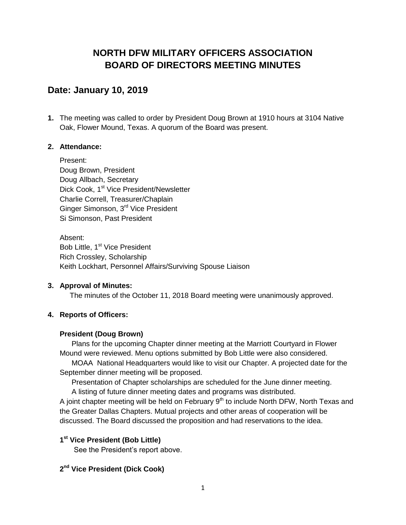# **NORTH DFW MILITARY OFFICERS ASSOCIATION BOARD OF DIRECTORS MEETING MINUTES**

## **Date: January 10, 2019**

**1.** The meeting was called to order by President Doug Brown at 1910 hours at 3104 Native Oak, Flower Mound, Texas. A quorum of the Board was present.

#### **2. Attendance:**

Present: Doug Brown, President Doug Allbach, Secretary Dick Cook, 1<sup>st</sup> Vice President/Newsletter Charlie Correll, Treasurer/Chaplain Ginger Simonson, 3<sup>rd</sup> Vice President Si Simonson, Past President

Absent: Bob Little, 1<sup>st</sup> Vice President Rich Crossley, Scholarship Keith Lockhart, Personnel Affairs/Surviving Spouse Liaison

#### **3. Approval of Minutes:**

The minutes of the October 11, 2018 Board meeting were unanimously approved.

## **4. Reports of Officers:**

#### **President (Doug Brown)**

Plans for the upcoming Chapter dinner meeting at the Marriott Courtyard in Flower Mound were reviewed. Menu options submitted by Bob Little were also considered.

MOAA National Headquarters would like to visit our Chapter. A projected date for the September dinner meeting will be proposed.

Presentation of Chapter scholarships are scheduled for the June dinner meeting. A listing of future dinner meeting dates and programs was distributed.

A joint chapter meeting will be held on February  $9<sup>th</sup>$  to include North DFW, North Texas and the Greater Dallas Chapters. Mutual projects and other areas of cooperation will be discussed. The Board discussed the proposition and had reservations to the idea.

## **1 st Vice President (Bob Little)**

See the President's report above.

### **2 nd Vice President (Dick Cook)**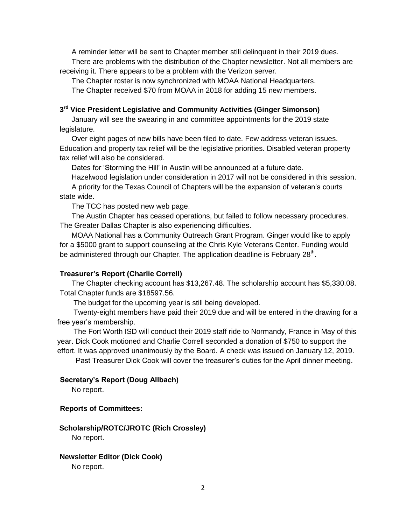A reminder letter will be sent to Chapter member still delinquent in their 2019 dues. There are problems with the distribution of the Chapter newsletter. Not all members are receiving it. There appears to be a problem with the Verizon server.

The Chapter roster is now synchronized with MOAA National Headquarters.

The Chapter received \$70 from MOAA in 2018 for adding 15 new members.

### **3 rd Vice President Legislative and Community Activities (Ginger Simonson)**

January will see the swearing in and committee appointments for the 2019 state legislature.

Over eight pages of new bills have been filed to date. Few address veteran issues. Education and property tax relief will be the legislative priorities. Disabled veteran property tax relief will also be considered.

Dates for 'Storming the Hill' in Austin will be announced at a future date.

Hazelwood legislation under consideration in 2017 will not be considered in this session.

A priority for the Texas Council of Chapters will be the expansion of veteran's courts state wide.

The TCC has posted new web page.

The Austin Chapter has ceased operations, but failed to follow necessary procedures. The Greater Dallas Chapter is also experiencing difficulties.

MOAA National has a Community Outreach Grant Program. Ginger would like to apply for a \$5000 grant to support counseling at the Chris Kyle Veterans Center. Funding would be administered through our Chapter. The application deadline is February 28<sup>th</sup>.

## **Treasurer's Report (Charlie Correll)**

The Chapter checking account has \$13,267.48. The scholarship account has \$5,330.08. Total Chapter funds are \$18597.56.

The budget for the upcoming year is still being developed.

Twenty-eight members have paid their 2019 due and will be entered in the drawing for a free year's membership.

The Fort Worth ISD will conduct their 2019 staff ride to Normandy, France in May of this year. Dick Cook motioned and Charlie Correll seconded a donation of \$750 to support the effort. It was approved unanimously by the Board. A check was issued on January 12, 2019.

Past Treasurer Dick Cook will cover the treasurer's duties for the April dinner meeting.

## **Secretary's Report (Doug Allbach)**

No report.

#### **Reports of Committees:**

## **Scholarship/ROTC/JROTC (Rich Crossley)**

No report.

**Newsletter Editor (Dick Cook)** No report.